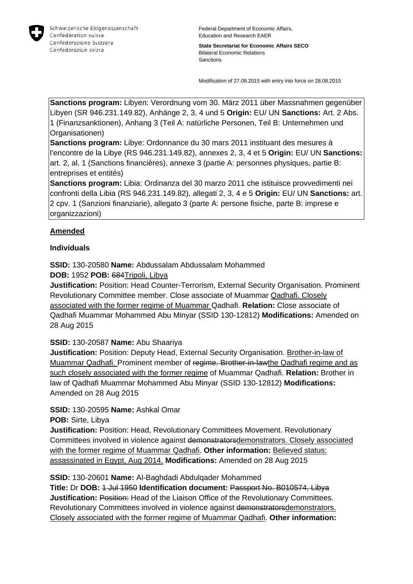

**State Secretariat for Economic Affairs SECO** Bilateral Economic Relations Sanctions

Modification of 27.08.2015 with entry into force on 28.08.2015

**Sanctions program:** Libyen: Verordnung vom 30. März 2011 über Massnahmen gegenüber Libyen (SR 946.231.149.82), Anhänge 2, 3, 4 und 5 **Origin:** EU/ UN **Sanctions:** Art. 2 Abs. 1 (Finanzsanktionen), Anhang 3 (Teil A: natürliche Personen, Teil B: Unternehmen und Organisationen)

**Sanctions program:** Libye: Ordonnance du 30 mars 2011 instituant des mesures à l'encontre de la Libye (RS 946.231.149.82), annexes 2, 3, 4 et 5 **Origin:** EU/ UN **Sanctions:** art. 2, al. 1 (Sanctions financières), annexe 3 (partie A: personnes physiques, partie B: entreprises et entités)

**Sanctions program:** Libia: Ordinanza del 30 marzo 2011 che istituisce provvedimenti nei confronti della Libia (RS 946.231.149.82), allegati 2, 3, 4 e 5 **Origin:** EU/ UN **Sanctions:** art. 2 cpv. 1 (Sanzioni finanziarie), allegato 3 (parte A: persone fisiche, parte B: imprese e organizzazioni)

### **Amended**

#### **Individuals**

**SSID:** 130-20580 **Name:** Abdussalam Abdussalam Mohammed

**DOB:** 1952 **POB:** 684Tripoli, Libya

**Justification:** Position: Head Counter-Terrorism, External Security Organisation. Prominent Revolutionary Committee member. Close associate of Muammar Qadhafi. Closely associated with the former regime of Muammar Qadhafi. **Relation:** Close associate of Qadhafi Muammar Mohammed Abu Minyar (SSID 130-12812) **Modifications:** Amended on 28 Aug 2015

### **SSID:** 130-20587 **Name:** Abu Shaariya

**Justification:** Position: Deputy Head, External Security Organisation. Brother-in-law of Muammar Qadhafi. Prominent member of regime. Brother-in-lawthe Qadhafi regime and as such closely associated with the former regime of Muammar Qadhafi. **Relation:** Brother in law of Qadhafi Muammar Mohammed Abu Minyar (SSID 130-12812) **Modifications:**  Amended on 28 Aug 2015

**SSID:** 130-20595 **Name:** Ashkal Omar

**POB:** Sirte, Libya

**Justification:** Position: Head, Revolutionary Committees Movement. Revolutionary Committees involved in violence against demonstratorsdemonstrators. Closely associated with the former regime of Muammar Qadhafi. **Other information:** Believed status: assassinated in Egypt, Aug 2014. **Modifications:** Amended on 28 Aug 2015

**SSID:** 130-20601 **Name:** Al-Baghdadi Abdulqader Mohammed

**Title:** Dr **DOB:** 1 Jul 1950 **Identification document:** Passport No. B010574, Libya **Justification: Position:** Head of the Liaison Office of the Revolutionary Committees. Revolutionary Committees involved in violence against demonstratorsdemonstrators. Closely associated with the former regime of Muammar Qadhafi. **Other information:**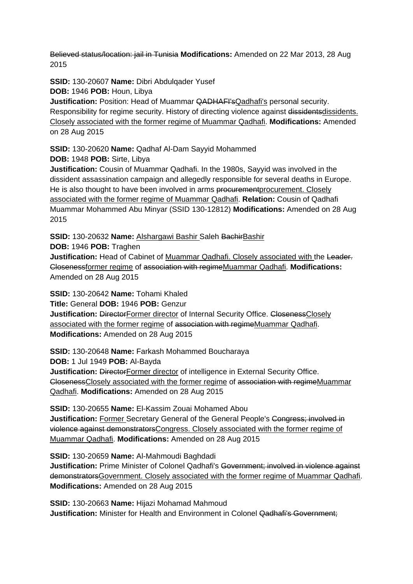Believed status/location: jail in Tunisia **Modifications:** Amended on 22 Mar 2013, 28 Aug 2015

**SSID:** 130-20607 **Name:** Dibri Abdulqader Yusef

**DOB:** 1946 **POB:** Houn, Libya

**Justification:** Position: Head of Muammar QADHAFI's Qadhafi's personal security. Responsibility for regime security. History of directing violence against dissidentsdissidents. Closely associated with the former regime of Muammar Qadhafi. **Modifications:** Amended on 28 Aug 2015

**SSID:** 130-20620 **Name:** Qadhaf Al-Dam Sayyid Mohammed

**DOB:** 1948 **POB:** Sirte, Libya

**Justification:** Cousin of Muammar Qadhafi. In the 1980s, Sayyid was involved in the dissident assassination campaign and allegedly responsible for several deaths in Europe. He is also thought to have been involved in arms procurement procurement. Closely associated with the former regime of Muammar Qadhafi. **Relation:** Cousin of Qadhafi Muammar Mohammed Abu Minyar (SSID 130-12812) **Modifications:** Amended on 28 Aug 2015

**SSID:** 130-20632 **Name:** Alshargawi Bashir Saleh BachirBashir

**DOB:** 1946 **POB:** Traghen

**Justification:** Head of Cabinet of Muammar Qadhafi. Closely associated with the Leader. Closenessformer regime of association with regimeMuammar Qadhafi. **Modifications:**  Amended on 28 Aug 2015

**SSID:** 130-20642 **Name:** Tohami Khaled **Title:** General **DOB:** 1946 **POB:** Genzur

**Justification: DirectorFormer director of Internal Security Office. ClosenessClosely** associated with the former regime of association with regimeMuammar Qadhafi. **Modifications:** Amended on 28 Aug 2015

**SSID:** 130-20648 **Name:** Farkash Mohammed Boucharaya **DOB:** 1 Jul 1949 **POB:** Al-Bayda

**Justification: DirectorFormer director of intelligence in External Security Office.** ClosenessClosely associated with the former regime of association with regimeMuammar Qadhafi. **Modifications:** Amended on 28 Aug 2015

**SSID:** 130-20655 **Name:** El-Kassim Zouai Mohamed Abou **Justification:** Former Secretary General of the General People's Congress; involved in violence against demonstratorsCongress. Closely associated with the former regime of Muammar Qadhafi. **Modifications:** Amended on 28 Aug 2015

**SSID:** 130-20659 **Name:** Al-Mahmoudi Baghdadi **Justification:** Prime Minister of Colonel Qadhafi's Government; involved in violence against demonstratorsGovernment. Closely associated with the former regime of Muammar Qadhafi. **Modifications:** Amended on 28 Aug 2015

**SSID:** 130-20663 **Name:** Hijazi Mohamad Mahmoud **Justification:** Minister for Health and Environment in Colonel Qadhafi's Government: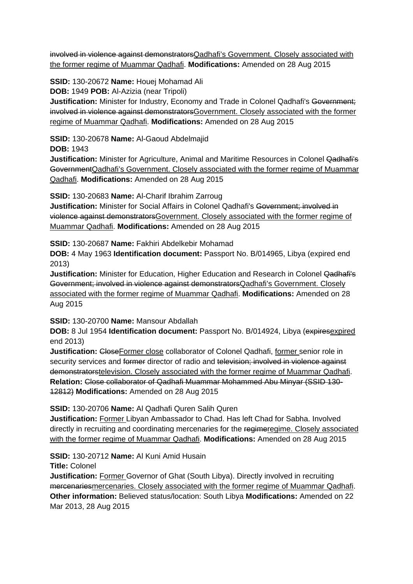involved in violence against demonstratorsQadhafi's Government. Closely associated with the former regime of Muammar Qadhafi. **Modifications:** Amended on 28 Aug 2015

**SSID:** 130-20672 **Name:** Houej Mohamad Ali

**DOB:** 1949 **POB:** Al-Azizia (near Tripoli)

**Justification:** Minister for Industry, Economy and Trade in Colonel Qadhafi's Government; involved in violence against demonstrators Government. Closely associated with the former regime of Muammar Qadhafi. **Modifications:** Amended on 28 Aug 2015

**SSID:** 130-20678 **Name:** Al-Gaoud Abdelmajid

**DOB:** 1943

**Justification:** Minister for Agriculture, Animal and Maritime Resources in Colonel Qadhafi's GovernmentQadhafi's Government. Closely associated with the former regime of Muammar Qadhafi. **Modifications:** Amended on 28 Aug 2015

**SSID:** 130-20683 **Name:** Al-Charif Ibrahim Zarroug

**Justification:** Minister for Social Affairs in Colonel Qadhafi's Government; involved in violence against demonstratorsGovernment. Closely associated with the former regime of Muammar Qadhafi. **Modifications:** Amended on 28 Aug 2015

**SSID:** 130-20687 **Name:** Fakhiri Abdelkebir Mohamad

**DOB:** 4 May 1963 **Identification document:** Passport No. B/014965, Libya (expired end 2013)

**Justification:** Minister for Education, Higher Education and Research in Colonel Qadhafi's Government; involved in violence against demonstratorsQadhafi's Government. Closely associated with the former regime of Muammar Qadhafi. **Modifications:** Amended on 28 Aug 2015

**SSID:** 130-20700 **Name:** Mansour Abdallah

**DOB:** 8 Jul 1954 **Identification document:** Passport No. B/014924, Libya (expiresexpired end 2013)

**Justification:** Close Former close collaborator of Colonel Qadhafi, former senior role in security services and former director of radio and television; involved in violence against demonstratorstelevision. Closely associated with the former regime of Muammar Qadhafi. **Relation:** Close collaborator of Qadhafi Muammar Mohammed Abu Minyar (SSID 130- 12812) **Modifications:** Amended on 28 Aug 2015

**SSID:** 130-20706 **Name:** Al Qadhafi Quren Salih Quren

**Justification:** Former Libyan Ambassador to Chad. Has left Chad for Sabha. Involved directly in recruiting and coordinating mercenaries for the regimeregime. Closely associated with the former regime of Muammar Qadhafi. **Modifications:** Amended on 28 Aug 2015

**SSID:** 130-20712 **Name:** Al Kuni Amid Husain

**Title:** Colonel

**Justification:** Former Governor of Ghat (South Libya). Directly involved in recruiting mercenariesmercenaries. Closely associated with the former regime of Muammar Qadhafi. **Other information:** Believed status/location: South Libya **Modifications:** Amended on 22 Mar 2013, 28 Aug 2015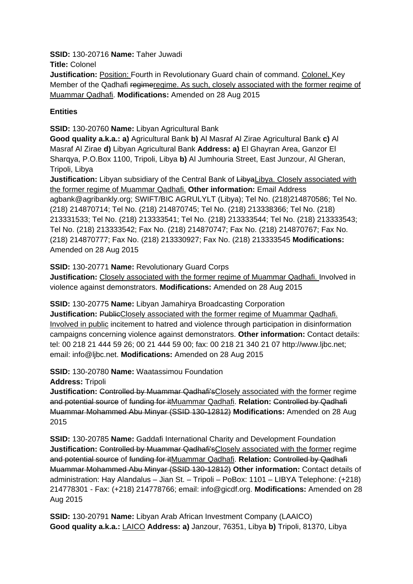**SSID:** 130-20716 **Name:** Taher Juwadi

**Title:** Colonel

**Justification:** Position: Fourth in Revolutionary Guard chain of command. Colonel. Key Member of the Qadhafi regimeregime. As such, closely associated with the former regime of Muammar Qadhafi. **Modifications:** Amended on 28 Aug 2015

## **Entities**

**SSID:** 130-20760 **Name:** Libyan Agricultural Bank

**Good quality a.k.a.: a)** Agricultural Bank **b)** Al Masraf Al Zirae Agricultural Bank **c)** Al Masraf Al Zirae **d)** Libyan Agricultural Bank **Address: a)** El Ghayran Area, Ganzor El Sharqya, P.O.Box 1100, Tripoli, Libya **b)** Al Jumhouria Street, East Junzour, Al Gheran, Tripoli, Libya

**Justification:** Libyan subsidiary of the Central Bank of LibyaLibya. Closely associated with the former regime of Muammar Qadhafi. **Other information:** Email Address agbank@agribankly.org; SWIFT/BIC AGRULYLT (Libya); Tel No. (218)214870586; Tel No. (218) 214870714; Tel No. (218) 214870745; Tel No. (218) 213338366; Tel No. (218) 213331533; Tel No. (218) 213333541; Tel No. (218) 213333544; Tel No. (218) 213333543; Tel No. (218) 213333542; Fax No. (218) 214870747; Fax No. (218) 214870767; Fax No. (218) 214870777; Fax No. (218) 213330927; Fax No. (218) 213333545 **Modifications:**  Amended on 28 Aug 2015

**SSID:** 130-20771 **Name:** Revolutionary Guard Corps

**Justification:** Closely associated with the former regime of Muammar Qadhafi. Involved in violence against demonstrators. **Modifications:** Amended on 28 Aug 2015

**SSID:** 130-20775 **Name:** Libyan Jamahirya Broadcasting Corporation

**Justification: PublicClosely associated with the former regime of Muammar Qadhafi.** Involved in public incitement to hatred and violence through participation in disinformation campaigns concerning violence against demonstrators. **Other information:** Contact details: tel: 00 218 21 444 59 26; 00 21 444 59 00; fax: 00 218 21 340 21 07 http://www.ljbc.net; email: info@ljbc.net. **Modifications:** Amended on 28 Aug 2015

**SSID:** 130-20780 **Name:** Waatassimou Foundation

**Address:** Tripoli

**Justification:** Controlled by Muammar Qadhafi'sClosely associated with the former regime and potential source of funding for itMuammar Qadhafi. **Relation:** Controlled by Qadhafi Muammar Mohammed Abu Minyar (SSID 130-12812) **Modifications:** Amended on 28 Aug 2015

**SSID:** 130-20785 **Name:** Gaddafi International Charity and Development Foundation **Justification: Controlled by Muammar Qadhafi'sClosely associated with the former regime** and potential source of funding for itMuammar Qadhafi. **Relation:** Controlled by Qadhafi Muammar Mohammed Abu Minyar (SSID 130-12812) **Other information:** Contact details of administration: Hay Alandalus – Jian St. – Tripoli – PoBox: 1101 – LIBYA Telephone: (+218) 214778301 - Fax: (+218) 214778766; email: info@gicdf.org. **Modifications:** Amended on 28 Aug 2015

**SSID:** 130-20791 **Name:** Libyan Arab African Investment Company (LAAICO) **Good quality a.k.a.:** LAICO **Address: a)** Janzour, 76351, Libya **b)** Tripoli, 81370, Libya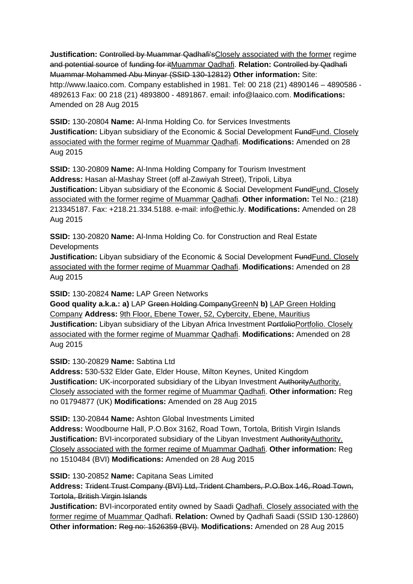**Justification: Controlled by Muammar Qadhafi'sClosely associated with the former regime** and potential source of funding for itMuammar Qadhafi. **Relation:** Controlled by Qadhafi Muammar Mohammed Abu Minyar (SSID 130-12812) **Other information:** Site: http://www.laaico.com. Company established in 1981. Tel: 00 218 (21) 4890146 – 4890586 - 4892613 Fax: 00 218 (21) 4893800 - 4891867. email: info@laaico.com. **Modifications:**  Amended on 28 Aug 2015

**SSID:** 130-20804 **Name:** Al-Inma Holding Co. for Services Investments **Justification:** Libyan subsidiary of the Economic & Social Development FundFund. Closely associated with the former regime of Muammar Qadhafi. **Modifications:** Amended on 28 Aug 2015

**SSID:** 130-20809 **Name:** Al-Inma Holding Company for Tourism Investment **Address:** Hasan al-Mashay Street (off al-Zawiyah Street), Tripoli, Libya **Justification:** Libyan subsidiary of the Economic & Social Development Fund Fund. Closely associated with the former regime of Muammar Qadhafi. **Other information:** Tel No.: (218) 213345187. Fax: +218.21.334.5188. e-mail: info@ethic.ly. **Modifications:** Amended on 28 Aug 2015

**SSID:** 130-20820 **Name:** Al-Inma Holding Co. for Construction and Real Estate **Developments** 

**Justification:** Libyan subsidiary of the Economic & Social Development FundFund. Closely associated with the former regime of Muammar Qadhafi. **Modifications:** Amended on 28 Aug 2015

**SSID:** 130-20824 **Name:** LAP Green Networks

**Good quality a.k.a.: a)** LAP Green Holding CompanyGreenN **b)** LAP Green Holding Company **Address:** 9th Floor, Ebene Tower, 52, Cybercity, Ebene, Mauritius **Justification:** Libyan subsidiary of the Libyan Africa Investment PortfolioPortfolio. Closely associated with the former regime of Muammar Qadhafi. **Modifications:** Amended on 28 Aug 2015

**SSID:** 130-20829 **Name:** Sabtina Ltd

**Address:** 530-532 Elder Gate, Elder House, Milton Keynes, United Kingdom **Justification:** UK-incorporated subsidiary of the Libyan Investment AuthorityAuthority. Closely associated with the former regime of Muammar Qadhafi. **Other information:** Reg no 01794877 (UK) **Modifications:** Amended on 28 Aug 2015

**SSID:** 130-20844 **Name:** Ashton Global Investments Limited **Address:** Woodbourne Hall, P.O.Box 3162, Road Town, Tortola, British Virgin Islands Justification: BVI-incorporated subsidiary of the Libyan Investment AuthorityAuthority. Closely associated with the former regime of Muammar Qadhafi. **Other information:** Reg no 1510484 (BVI) **Modifications:** Amended on 28 Aug 2015

**SSID:** 130-20852 **Name:** Capitana Seas Limited

**Address:** Trident Trust Company (BVI) Ltd, Trident Chambers, P.O.Box 146, Road Town, Tortola, British Virgin Islands

**Justification:** BVI-incorporated entity owned by Saadi Qadhafi. Closely associated with the former regime of Muammar Qadhafi. **Relation:** Owned by Qadhafi Saadi (SSID 130-12860) **Other information:** Reg no: 1526359 (BVI). **Modifications:** Amended on 28 Aug 2015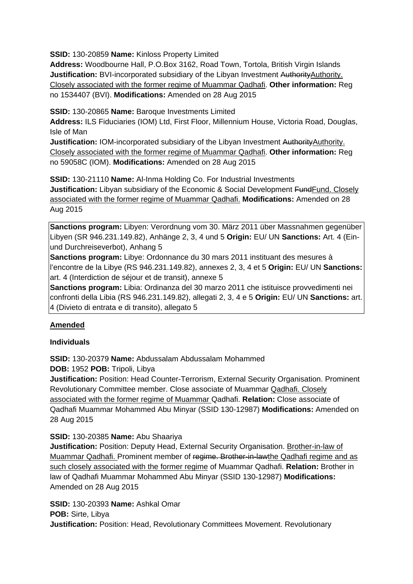**SSID:** 130-20859 **Name:** Kinloss Property Limited

**Address:** Woodbourne Hall, P.O.Box 3162, Road Town, Tortola, British Virgin Islands **Justification:** BVI-incorporated subsidiary of the Libyan Investment AuthorityAuthority. Closely associated with the former regime of Muammar Qadhafi. **Other information:** Reg no 1534407 (BVI). **Modifications:** Amended on 28 Aug 2015

**SSID:** 130-20865 **Name:** Baroque Investments Limited

**Address:** ILS Fiduciaries (IOM) Ltd, First Floor, Millennium House, Victoria Road, Douglas, Isle of Man

**Justification:** IOM-incorporated subsidiary of the Libyan Investment AuthorityAuthority. Closely associated with the former regime of Muammar Qadhafi. **Other information:** Reg no 59058C (IOM). **Modifications:** Amended on 28 Aug 2015

**SSID:** 130-21110 **Name:** Al-Inma Holding Co. For Industrial Investments **Justification:** Libyan subsidiary of the Economic & Social Development Fund Fund. Closely associated with the former regime of Muammar Qadhafi. **Modifications:** Amended on 28 Aug 2015

**Sanctions program:** Libyen: Verordnung vom 30. März 2011 über Massnahmen gegenüber Libyen (SR 946.231.149.82), Anhänge 2, 3, 4 und 5 **Origin:** EU/ UN **Sanctions:** Art. 4 (Einund Durchreiseverbot), Anhang 5

**Sanctions program:** Libye: Ordonnance du 30 mars 2011 instituant des mesures à l'encontre de la Libye (RS 946.231.149.82), annexes 2, 3, 4 et 5 **Origin:** EU/ UN **Sanctions:** art. 4 (Interdiction de séjour et de transit), annexe 5

**Sanctions program:** Libia: Ordinanza del 30 marzo 2011 che istituisce provvedimenti nei confronti della Libia (RS 946.231.149.82), allegati 2, 3, 4 e 5 **Origin:** EU/ UN **Sanctions:** art. 4 (Divieto di entrata e di transito), allegato 5

# **Amended**

### **Individuals**

**SSID:** 130-20379 **Name:** Abdussalam Abdussalam Mohammed

**DOB:** 1952 **POB:** Tripoli, Libya

**Justification:** Position: Head Counter-Terrorism, External Security Organisation. Prominent Revolutionary Committee member. Close associate of Muammar Qadhafi. Closely associated with the former regime of Muammar Qadhafi. **Relation:** Close associate of Qadhafi Muammar Mohammed Abu Minyar (SSID 130-12987) **Modifications:** Amended on 28 Aug 2015

### **SSID:** 130-20385 **Name:** Abu Shaariya

**Justification:** Position: Deputy Head, External Security Organisation. Brother-in-law of Muammar Qadhafi. Prominent member of regime. Brother-in-lawthe Qadhafi regime and as such closely associated with the former regime of Muammar Qadhafi. **Relation:** Brother in law of Qadhafi Muammar Mohammed Abu Minyar (SSID 130-12987) **Modifications:**  Amended on 28 Aug 2015

**SSID:** 130-20393 **Name:** Ashkal Omar **POB:** Sirte, Libya **Justification:** Position: Head, Revolutionary Committees Movement. Revolutionary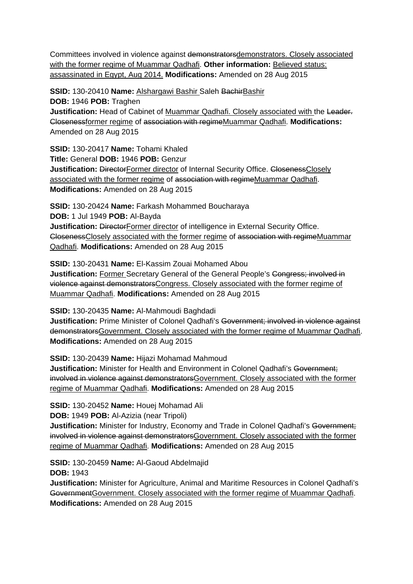Committees involved in violence against demonstratorsdemonstrators. Closely associated with the former regime of Muammar Qadhafi. **Other information:** Believed status: assassinated in Egypt, Aug 2014. **Modifications:** Amended on 28 Aug 2015

**SSID:** 130-20410 **Name:** Alshargawi Bashir Saleh BachirBashir **DOB:** 1946 **POB:** Traghen **Justification:** Head of Cabinet of Muammar Qadhafi. Closely associated with the Leader. Closenessformer regime of association with regimeMuammar Qadhafi. **Modifications:**  Amended on 28 Aug 2015

**SSID:** 130-20417 **Name:** Tohami Khaled **Title:** General **DOB:** 1946 **POB:** Genzur **Justification: DirectorFormer director of Internal Security Office. ClosenessClosely** associated with the former regime of association with regimeMuammar Qadhafi. **Modifications:** Amended on 28 Aug 2015

**SSID:** 130-20424 **Name:** Farkash Mohammed Boucharaya **DOB:** 1 Jul 1949 **POB:** Al-Bayda **Justification: DirectorFormer director of intelligence in External Security Office.** ClosenessClosely associated with the former regime of association with regimeMuammar Qadhafi. **Modifications:** Amended on 28 Aug 2015

**SSID:** 130-20431 **Name:** El-Kassim Zouai Mohamed Abou **Justification:** Former Secretary General of the General People's Congress; involved in violence against demonstratorsCongress. Closely associated with the former regime of Muammar Qadhafi. **Modifications:** Amended on 28 Aug 2015

**SSID:** 130-20435 **Name:** Al-Mahmoudi Baghdadi **Justification:** Prime Minister of Colonel Qadhafi's Government; involved in violence against demonstratorsGovernment. Closely associated with the former regime of Muammar Qadhafi. **Modifications:** Amended on 28 Aug 2015

**SSID:** 130-20439 **Name:** Hijazi Mohamad Mahmoud **Justification:** Minister for Health and Environment in Colonel Qadhafi's Government: involved in violence against demonstrators Government. Closely associated with the former regime of Muammar Qadhafi. **Modifications:** Amended on 28 Aug 2015

**SSID:** 130-20452 **Name:** Houej Mohamad Ali

**DOB:** 1949 **POB:** Al-Azizia (near Tripoli)

**Justification:** Minister for Industry, Economy and Trade in Colonel Qadhafi's Government; involved in violence against demonstratorsGovernment. Closely associated with the former regime of Muammar Qadhafi. **Modifications:** Amended on 28 Aug 2015

**SSID:** 130-20459 **Name:** Al-Gaoud Abdelmajid **DOB:** 1943

**Justification:** Minister for Agriculture, Animal and Maritime Resources in Colonel Qadhafi's GovernmentGovernment. Closely associated with the former regime of Muammar Qadhafi. **Modifications:** Amended on 28 Aug 2015